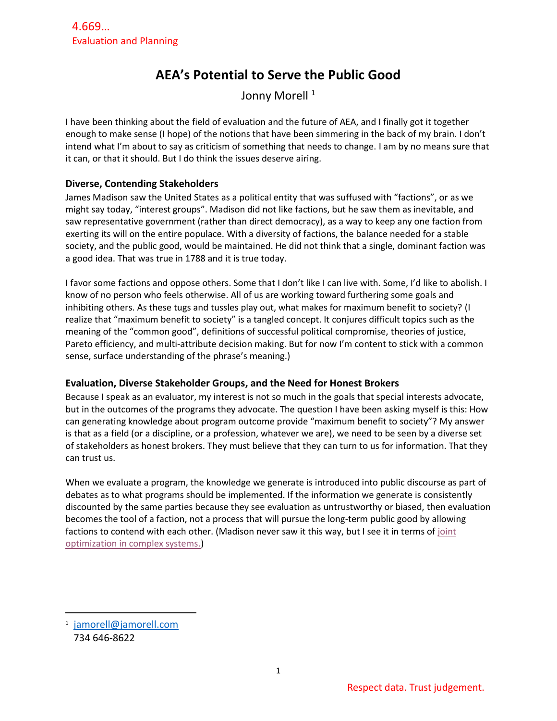# **AEA's Potential to Serve the Public Good**

Jonny Morell<sup>1</sup>

I have been thinking about the field of evaluation and the future of AEA, and I finally got it together enough to make sense (I hope) of the notions that have been simmering in the back of my brain. I don't intend what I'm about to say as criticism of something that needs to change. I am by no means sure that it can, or that it should. But I do think the issues deserve airing.

## **Diverse, Contending Stakeholders**

James Madison saw the United States as a political entity that was suffused with "factions", or as we might say today, "interest groups". Madison did not like factions, but he saw them as inevitable, and saw representative government (rather than direct democracy), as a way to keep any one faction from exerting its will on the entire populace. With a diversity of factions, the balance needed for a stable society, and the public good, would be maintained. He did not think that a single, dominant faction was a good idea. That was true in 1788 and it is true today.

I favor some factions and oppose others. Some that I don't like I can live with. Some, I'd like to abolish. I know of no person who feels otherwise. All of us are working toward furthering some goals and inhibiting others. As these tugs and tussles play out, what makes for maximum benefit to society? (I realize that "maximum benefit to society" is a tangled concept. It conjures difficult topics such as the meaning of the "common good", definitions of successful political compromise, theories of justice, Pareto efficiency, and multi-attribute decision making. But for now I'm content to stick with a common sense, surface understanding of the phrase's meaning.)

## **Evaluation, Diverse Stakeholder Groups, and the Need for Honest Brokers**

Because I speak as an evaluator, my interest is not so much in the goals that special interests advocate, but in the outcomes of the programs they advocate. The question I have been asking myself is this: How can generating knowledge about program outcome provide "maximum benefit to society"? My answer is that as a field (or a discipline, or a profession, whatever we are), we need to be seen by a diverse set of stakeholders as honest brokers. They must believe that they can turn to us for information. That they can trust us.

When we evaluate a program, the knowledge we generate is introduced into public discourse as part of debates as to what programs should be implemented. If the information we generate is consistently discounted by the same parties because they see evaluation as untrustworthy or biased, then evaluation becomes the tool of a faction, not a process that will pursue the long-term public good by allowing factions to contend with each other. (Madison never saw it this way, but I see it in terms of [joint](https://evaluationuncertainty.com/2019/07/16/joint-optimization-of-unrelated-outcomes-part-6-of-a-10-part-series-on-how-complexity-can-produce-better-insight-on-what-programs-do-and-why/)  [optimization in complex systems.\)](https://evaluationuncertainty.com/2019/07/16/joint-optimization-of-unrelated-outcomes-part-6-of-a-10-part-series-on-how-complexity-can-produce-better-insight-on-what-programs-do-and-why/)

<sup>1</sup> [jamorell@jamorell.com](mailto:jamorell@jamorell.com) 734 646-8622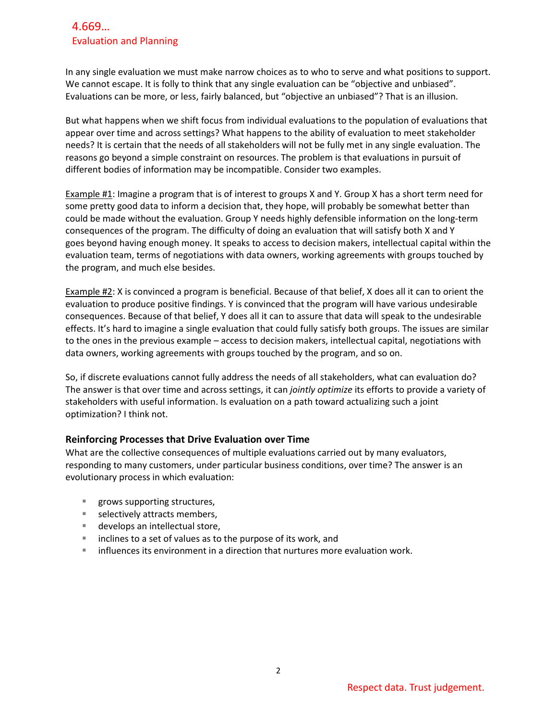# 4.669… Evaluation and Planning

In any single evaluation we must make narrow choices as to who to serve and what positions to support. We cannot escape. It is folly to think that any single evaluation can be "objective and unbiased". Evaluations can be more, or less, fairly balanced, but "objective an unbiased"? That is an illusion.

But what happens when we shift focus from individual evaluations to the population of evaluations that appear over time and across settings? What happens to the ability of evaluation to meet stakeholder needs? It is certain that the needs of all stakeholders will not be fully met in any single evaluation. The reasons go beyond a simple constraint on resources. The problem is that evaluations in pursuit of different bodies of information may be incompatible. Consider two examples.

Example #1: Imagine a program that is of interest to groups X and Y. Group X has a short term need for some pretty good data to inform a decision that, they hope, will probably be somewhat better than could be made without the evaluation. Group Y needs highly defensible information on the long-term consequences of the program. The difficulty of doing an evaluation that will satisfy both X and Y goes beyond having enough money. It speaks to access to decision makers, intellectual capital within the evaluation team, terms of negotiations with data owners, working agreements with groups touched by the program, and much else besides.

Example #2: X is convinced a program is beneficial. Because of that belief, X does all it can to orient the evaluation to produce positive findings. Y is convinced that the program will have various undesirable consequences. Because of that belief, Y does all it can to assure that data will speak to the undesirable effects. It's hard to imagine a single evaluation that could fully satisfy both groups. The issues are similar to the ones in the previous example – access to decision makers, intellectual capital, negotiations with data owners, working agreements with groups touched by the program, and so on.

So, if discrete evaluations cannot fully address the needs of all stakeholders, what can evaluation do? The answer is that over time and across settings, it can *jointly optimize* its efforts to provide a variety of stakeholders with useful information. Is evaluation on a path toward actualizing such a joint optimization? I think not.

## **Reinforcing Processes that Drive Evaluation over Time**

What are the collective consequences of multiple evaluations carried out by many evaluators, responding to many customers, under particular business conditions, over time? The answer is an evolutionary process in which evaluation:

- grows supporting structures,
- selectively attracts members,
- develops an intellectual store,
- inclines to a set of values as to the purpose of its work, and
- influences its environment in a direction that nurtures more evaluation work.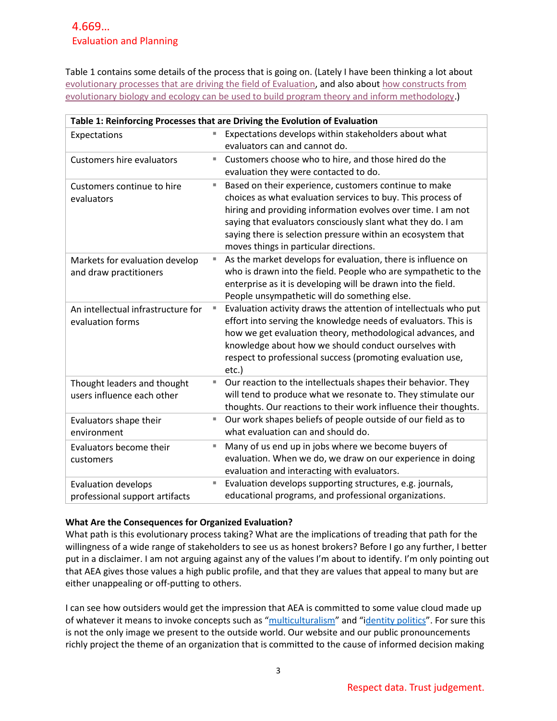Table 1 contains some details of the process that is going on. (Lately I have been thinking a lot about [evolutionary processes that are driving the field of Evaluation,](https://evaluationuncertainty.com/2013/06/27/using-an-evolutionary-biology-view-to-connect-the-intellectual-development-of-evaluation-and-the-development-of-the-evaluation-community/) and also about [how constructs from](https://evaluationuncertainty.com/contributions-of-evolutionary-biology-and-ecology/)  [evolutionary biology and ecology can be used to build program theory and inform methodology.](https://evaluationuncertainty.com/contributions-of-evolutionary-biology-and-ecology/))

| Table 1: Reinforcing Processes that are Driving the Evolution of Evaluation |   |                                                                  |  |
|-----------------------------------------------------------------------------|---|------------------------------------------------------------------|--|
| Expectations                                                                | E | Expectations develops within stakeholders about what             |  |
|                                                                             |   | evaluators can and cannot do.                                    |  |
| <b>Customers hire evaluators</b>                                            | ш | Customers choose who to hire, and those hired do the             |  |
|                                                                             |   | evaluation they were contacted to do.                            |  |
| Customers continue to hire                                                  | Е | Based on their experience, customers continue to make            |  |
| evaluators                                                                  |   | choices as what evaluation services to buy. This process of      |  |
|                                                                             |   | hiring and providing information evolves over time. I am not     |  |
|                                                                             |   | saying that evaluators consciously slant what they do. I am      |  |
|                                                                             |   | saying there is selection pressure within an ecosystem that      |  |
|                                                                             |   | moves things in particular directions.                           |  |
| Markets for evaluation develop                                              | E | As the market develops for evaluation, there is influence on     |  |
| and draw practitioners                                                      |   | who is drawn into the field. People who are sympathetic to the   |  |
|                                                                             |   | enterprise as it is developing will be drawn into the field.     |  |
|                                                                             |   | People unsympathetic will do something else.                     |  |
| An intellectual infrastructure for                                          | П | Evaluation activity draws the attention of intellectuals who put |  |
| evaluation forms                                                            |   | effort into serving the knowledge needs of evaluators. This is   |  |
|                                                                             |   | how we get evaluation theory, methodological advances, and       |  |
|                                                                             |   | knowledge about how we should conduct ourselves with             |  |
|                                                                             |   | respect to professional success (promoting evaluation use,       |  |
|                                                                             |   | etc.)                                                            |  |
| Thought leaders and thought                                                 | Е | Our reaction to the intellectuals shapes their behavior. They    |  |
| users influence each other                                                  |   | will tend to produce what we resonate to. They stimulate our     |  |
|                                                                             |   | thoughts. Our reactions to their work influence their thoughts.  |  |
| Evaluators shape their                                                      | ш | Our work shapes beliefs of people outside of our field as to     |  |
| environment                                                                 |   | what evaluation can and should do.                               |  |
| Evaluators become their                                                     | E | Many of us end up in jobs where we become buyers of              |  |
| customers                                                                   |   | evaluation. When we do, we draw on our experience in doing       |  |
|                                                                             |   | evaluation and interacting with evaluators.                      |  |
| <b>Evaluation develops</b>                                                  | E | Evaluation develops supporting structures, e.g. journals,        |  |
| professional support artifacts                                              |   | educational programs, and professional organizations.            |  |

## **What Are the Consequences for Organized Evaluation?**

What path is this evolutionary process taking? What are the implications of treading that path for the willingness of a wide range of stakeholders to see us as honest brokers? Before I go any further, I better put in a disclaimer. I am not arguing against any of the values I'm about to identify. I'm only pointing out that AEA gives those values a high public profile, and that they are values that appeal to many but are either unappealing or off-putting to others.

I can see how outsiders would get the impression that AEA is committed to some value cloud made up of whatever it means to invoke concepts such as "[multiculturalism](https://plato.stanford.edu/entries/multiculturalism/)" and "i[dentity politics](https://plato.stanford.edu/entries/identity-politics/)". For sure this is not the only image we present to the outside world. Our website and our public pronouncements richly project the theme of an organization that is committed to the cause of informed decision making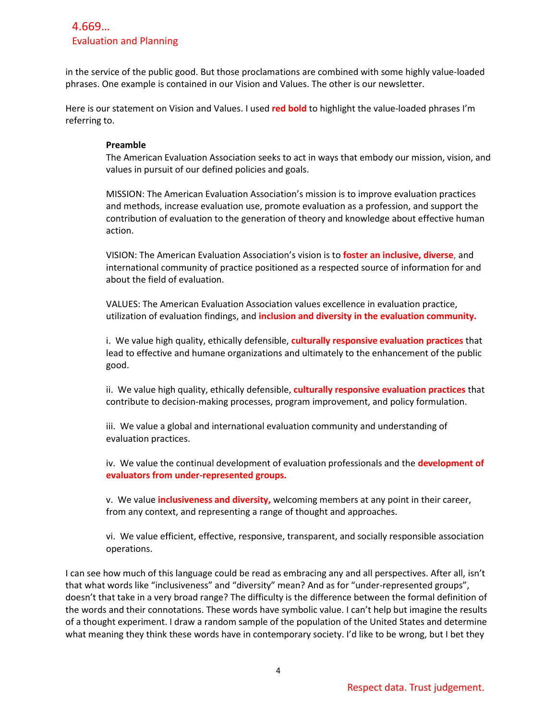# 4.669… Evaluation and Planning

in the service of the public good. But those proclamations are combined with some highly value-loaded phrases. One example is contained in our Vision and Values. The other is our newsletter.

Here is our statement on Vision and Values. I used **red bold** to highlight the value-loaded phrases I'm referring to.

#### **Preamble**

The American Evaluation Association seeks to act in ways that embody our mission, vision, and values in pursuit of our defined policies and goals.

MISSION: The American Evaluation Association's mission is to improve evaluation practices and methods, increase evaluation use, promote evaluation as a profession, and support the contribution of evaluation to the generation of theory and knowledge about effective human action.

VISION: The American Evaluation Association's vision is to **foster an inclusive, diverse**, and international community of practice positioned as a respected source of information for and about the field of evaluation.

VALUES: The American Evaluation Association values excellence in evaluation practice, utilization of evaluation findings, and **inclusion and diversity in the evaluation community.**

i. We value high quality, ethically defensible, **culturally responsive evaluation practices** that lead to effective and humane organizations and ultimately to the enhancement of the public good.

ii. We value high quality, ethically defensible, **culturally responsive evaluation practices** that contribute to decision-making processes, program improvement, and policy formulation.

iii. We value a global and international evaluation community and understanding of evaluation practices.

iv. We value the continual development of evaluation professionals and the **development of evaluators from under-represented groups.**

v. We value **inclusiveness and diversity,** welcoming members at any point in their career, from any context, and representing a range of thought and approaches.

vi. We value efficient, effective, responsive, transparent, and socially responsible association operations.

I can see how much of this language could be read as embracing any and all perspectives. After all, isn't that what words like "inclusiveness" and "diversity" mean? And as for "under-represented groups", doesn't that take in a very broad range? The difficulty is the difference between the formal definition of the words and their connotations. These words have symbolic value. I can't help but imagine the results of a thought experiment. I draw a random sample of the population of the United States and determine what meaning they think these words have in contemporary society. I'd like to be wrong, but I bet they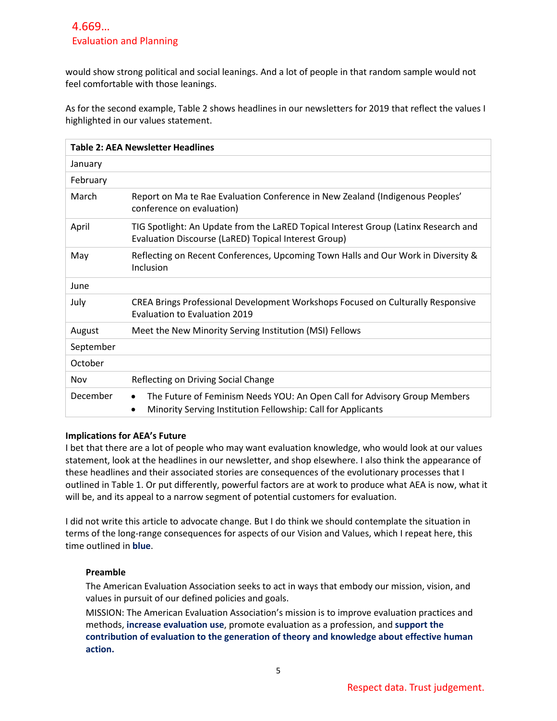# 4.669… Evaluation and Planning

would show strong political and social leanings. And a lot of people in that random sample would not feel comfortable with those leanings.

As for the second example, Table 2 shows headlines in our newsletters for 2019 that reflect the values I highlighted in our values statement.

| <b>Table 2: AEA Newsletter Headlines</b> |                                                                                                                                                        |  |  |
|------------------------------------------|--------------------------------------------------------------------------------------------------------------------------------------------------------|--|--|
| January                                  |                                                                                                                                                        |  |  |
| February                                 |                                                                                                                                                        |  |  |
| March                                    | Report on Ma te Rae Evaluation Conference in New Zealand (Indigenous Peoples'<br>conference on evaluation)                                             |  |  |
| April                                    | TIG Spotlight: An Update from the LaRED Topical Interest Group (Latinx Research and<br>Evaluation Discourse (LaRED) Topical Interest Group)            |  |  |
| May                                      | Reflecting on Recent Conferences, Upcoming Town Halls and Our Work in Diversity &<br>Inclusion                                                         |  |  |
| June                                     |                                                                                                                                                        |  |  |
| July                                     | CREA Brings Professional Development Workshops Focused on Culturally Responsive<br>Evaluation to Evaluation 2019                                       |  |  |
| August                                   | Meet the New Minority Serving Institution (MSI) Fellows                                                                                                |  |  |
| September                                |                                                                                                                                                        |  |  |
| October                                  |                                                                                                                                                        |  |  |
| Nov                                      | Reflecting on Driving Social Change                                                                                                                    |  |  |
| December                                 | The Future of Feminism Needs YOU: An Open Call for Advisory Group Members<br>$\bullet$<br>Minority Serving Institution Fellowship: Call for Applicants |  |  |

#### **Implications for AEA's Future**

I bet that there are a lot of people who may want evaluation knowledge, who would look at our values statement, look at the headlines in our newsletter, and shop elsewhere. I also think the appearance of these headlines and their associated stories are consequences of the evolutionary processes that I outlined in Table 1. Or put differently, powerful factors are at work to produce what AEA is now, what it will be, and its appeal to a narrow segment of potential customers for evaluation.

I did not write this article to advocate change. But I do think we should contemplate the situation in terms of the long-range consequences for aspects of our Vision and Values, which I repeat here, this time outlined in **blue**.

#### **Preamble**

The American Evaluation Association seeks to act in ways that embody our mission, vision, and values in pursuit of our defined policies and goals.

MISSION: The American Evaluation Association's mission is to improve evaluation practices and methods, **increase evaluation use**, promote evaluation as a profession, and **support the contribution of evaluation to the generation of theory and knowledge about effective human action.**